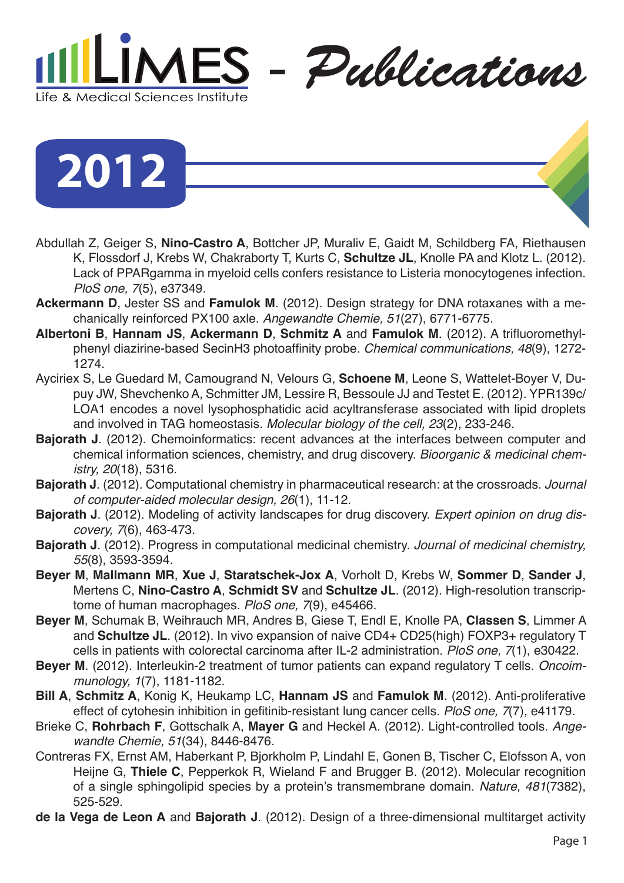

**2012**

- Abdullah Z, Geiger S, **Nino-Castro A**, Bottcher JP, Muraliv E, Gaidt M, Schildberg FA, Riethausen K, Flossdorf J, Krebs W, Chakraborty T, Kurts C, **Schultze JL**, Knolle PA and Klotz L. (2012). Lack of PPARgamma in myeloid cells confers resistance to Listeria monocytogenes infection. *PloS one, 7*(5), e37349.
- **Ackermann D**, Jester SS and **Famulok M**. (2012). Design strategy for DNA rotaxanes with a mechanically reinforced PX100 axle. *Angewandte Chemie, 51*(27), 6771-6775.
- **Albertoni B**, **Hannam JS**, **Ackermann D**, **Schmitz A** and **Famulok M**. (2012). A trifluoromethylphenyl diazirine-based SecinH3 photoaffinity probe. *Chemical communications, 48*(9), 1272- 1274.
- Ayciriex S, Le Guedard M, Camougrand N, Velours G, **Schoene M**, Leone S, Wattelet-Boyer V, Dupuy JW, Shevchenko A, Schmitter JM, Lessire R, Bessoule JJ and Testet E. (2012). YPR139c/ LOA1 encodes a novel lysophosphatidic acid acyltransferase associated with lipid droplets and involved in TAG homeostasis. *Molecular biology of the cell, 23*(2), 233-246.
- **Bajorath J**. (2012). Chemoinformatics: recent advances at the interfaces between computer and chemical information sciences, chemistry, and drug discovery. *Bioorganic & medicinal chemistry, 20*(18), 5316.
- **Bajorath J**. (2012). Computational chemistry in pharmaceutical research: at the crossroads. *Journal of computer-aided molecular design, 26*(1), 11-12.
- **Bajorath J**. (2012). Modeling of activity landscapes for drug discovery. *Expert opinion on drug discovery, 7*(6), 463-473.
- **Bajorath J**. (2012). Progress in computational medicinal chemistry. *Journal of medicinal chemistry, 55*(8), 3593-3594.
- **Beyer M**, **Mallmann MR**, **Xue J**, **Staratschek-Jox A**, Vorholt D, Krebs W, **Sommer D**, **Sander J**, Mertens C, **Nino-Castro A**, **Schmidt SV** and **Schultze JL**. (2012). High-resolution transcriptome of human macrophages. *PloS one, 7*(9), e45466.
- **Beyer M**, Schumak B, Weihrauch MR, Andres B, Giese T, Endl E, Knolle PA, **Classen S**, Limmer A and **Schultze JL**. (2012). In vivo expansion of naive CD4+ CD25(high) FOXP3+ regulatory T cells in patients with colorectal carcinoma after IL-2 administration. *PloS one, 7*(1), e30422.
- **Beyer M**. (2012). Interleukin-2 treatment of tumor patients can expand regulatory T cells. *Oncoimmunology, 1*(7), 1181-1182.
- **Bill A**, **Schmitz A**, Konig K, Heukamp LC, **Hannam JS** and **Famulok M**. (2012). Anti-proliferative effect of cytohesin inhibition in gefitinib-resistant lung cancer cells. *PloS one, 7*(7), e41179.
- Brieke C, **Rohrbach F**, Gottschalk A, **Mayer G** and Heckel A. (2012). Light-controlled tools. *Angewandte Chemie, 51*(34), 8446-8476.
- Contreras FX, Ernst AM, Haberkant P, Bjorkholm P, Lindahl E, Gonen B, Tischer C, Elofsson A, von Heijne G, **Thiele C**, Pepperkok R, Wieland F and Brugger B. (2012). Molecular recognition of a single sphingolipid species by a protein's transmembrane domain. *Nature, 481*(7382), 525-529.
- **de la Vega de Leon A** and **Bajorath J**. (2012). Design of a three-dimensional multitarget activity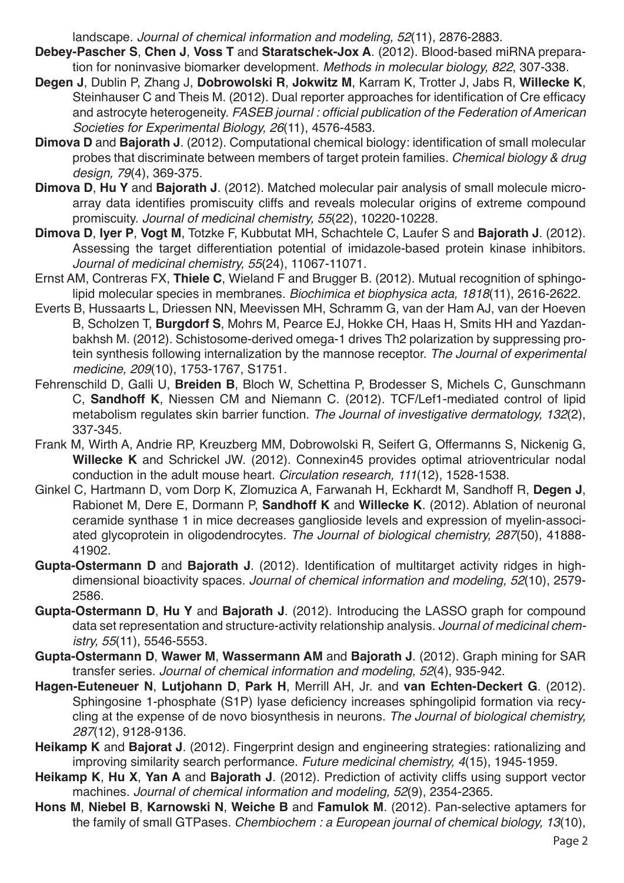landscape. *Journal of chemical information and modeling, 52*(11), 2876-2883.

- **Debey-Pascher S**, **Chen J**, **Voss T** and **Staratschek-Jox A**. (2012). Blood-based miRNA preparation for noninvasive biomarker development. *Methods in molecular biology, 822*, 307-338.
- **Degen J**, Dublin P, Zhang J, **Dobrowolski R**, **Jokwitz M**, Karram K, Trotter J, Jabs R, **Willecke K**, Steinhauser C and Theis M. (2012). Dual reporter approaches for identification of Cre efficacy and astrocyte heterogeneity. FASEB journal: official publication of the Federation of American *Societies for Experimental Biology, 26*(11), 4576-4583.
- **Dimova D** and **Bajorath J**. (2012). Computational chemical biology: identification of small molecular probes that discriminate between members of target protein families. *Chemical biology & drug design, 79*(4), 369-375.
- **Dimova D**, **Hu Y** and **Bajorath J**. (2012). Matched molecular pair analysis of small molecule microarray data identifies promiscuity cliffs and reveals molecular origins of extreme compound promiscuity. *Journal of medicinal chemistry, 55*(22), 10220-10228.
- **Dimova D**, **Iyer P**, **Vogt M**, Totzke F, Kubbutat MH, Schachtele C, Laufer S and **Bajorath J**. (2012). Assessing the target differentiation potential of imidazole-based protein kinase inhibitors. *Journal of medicinal chemistry, 55*(24), 11067-11071.
- Ernst AM, Contreras FX, **Thiele C**, Wieland F and Brugger B. (2012). Mutual recognition of sphingolipid molecular species in membranes. *Biochimica et biophysica acta, 1818*(11), 2616-2622.
- Everts B, Hussaarts L, Driessen NN, Meevissen MH, Schramm G, van der Ham AJ, van der Hoeven B, Scholzen T, **Burgdorf S**, Mohrs M, Pearce EJ, Hokke CH, Haas H, Smits HH and Yazdanbakhsh M. (2012). Schistosome-derived omega-1 drives Th2 polarization by suppressing protein synthesis following internalization by the mannose receptor. *The Journal of experimental medicine, 209*(10), 1753-1767, S1751.
- Fehrenschild D, Galli U, **Breiden B**, Bloch W, Schettina P, Brodesser S, Michels C, Gunschmann C, **Sandhoff K**, Niessen CM and Niemann C. (2012). TCF/Lef1-mediated control of lipid metabolism regulates skin barrier function. *The Journal of investigative dermatology, 132*(2), 337-345.
- Frank M, Wirth A, Andrie RP, Kreuzberg MM, Dobrowolski R, Seifert G, Offermanns S, Nickenig G, **Willecke K** and Schrickel JW. (2012). Connexin45 provides optimal atrioventricular nodal conduction in the adult mouse heart. *Circulation research, 111*(12), 1528-1538.
- Ginkel C, Hartmann D, vom Dorp K, Zlomuzica A, Farwanah H, Eckhardt M, Sandhoff R, **Degen J**, Rabionet M, Dere E, Dormann P, **Sandhoff K** and **Willecke K**. (2012). Ablation of neuronal ceramide synthase 1 in mice decreases ganglioside levels and expression of myelin-associated glycoprotein in oligodendrocytes. *The Journal of biological chemistry, 287*(50), 41888- 41902.
- **Gupta-Ostermann D** and **Bajorath J**. (2012). Identification of multitarget activity ridges in highdimensional bioactivity spaces. *Journal of chemical information and modeling, 52*(10), 2579- 2586.
- **Gupta-Ostermann D**, **Hu Y** and **Bajorath J**. (2012). Introducing the LASSO graph for compound data set representation and structure-activity relationship analysis. *Journal of medicinal chemistry, 55*(11), 5546-5553.
- **Gupta-Ostermann D**, **Wawer M**, **Wassermann AM** and **Bajorath J**. (2012). Graph mining for SAR transfer series. *Journal of chemical information and modeling, 52*(4), 935-942.
- **Hagen-Euteneuer N**, **Lutjohann D**, **Park H**, Merrill AH, Jr. and **van Echten-Deckert G**. (2012). Sphingosine 1-phosphate (S1P) lyase deficiency increases sphingolipid formation via recycling at the expense of de novo biosynthesis in neurons. *The Journal of biological chemistry, 287*(12), 9128-9136.
- **Heikamp K** and **Bajorat J**. (2012). Fingerprint design and engineering strategies: rationalizing and improving similarity search performance. *Future medicinal chemistry, 4*(15), 1945-1959.
- **Heikamp K**, **Hu X**, **Yan A** and **Bajorath J**. (2012). Prediction of activity cliffs using support vector machines. *Journal of chemical information and modeling, 52*(9), 2354-2365.
- **Hons M**, **Niebel B**, **Karnowski N**, **Weiche B** and **Famulok M**. (2012). Pan-selective aptamers for the family of small GTPases. *Chembiochem : a European journal of chemical biology, 13*(10),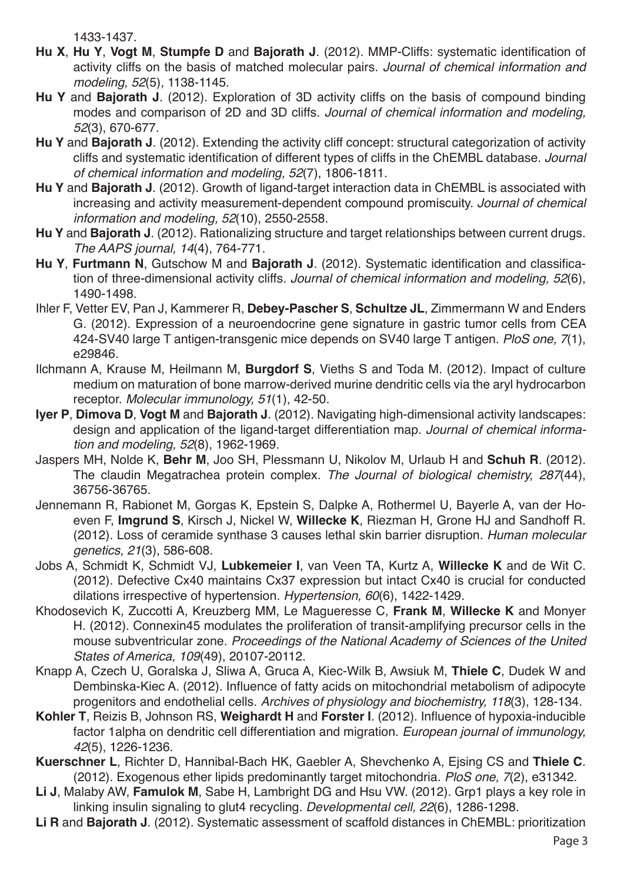1433-1437.

- **Hu X**, **Hu Y**, **Vogt M**, **Stumpfe D** and **Bajorath J**. (2012). MMP-Cliffs: systematic identification of activity cliffs on the basis of matched molecular pairs. *Journal of chemical information and modeling, 52*(5), 1138-1145.
- **Hu Y** and **Bajorath J**. (2012). Exploration of 3D activity cliffs on the basis of compound binding modes and comparison of 2D and 3D cliffs. *Journal of chemical information and modeling, 52*(3), 670-677.
- **Hu Y** and **Bajorath J**. (2012). Extending the activity cliff concept: structural categorization of activity cliffs and systematic identification of different types of cliffs in the ChEMBL database. *Journal of chemical information and modeling, 52*(7), 1806-1811.
- **Hu Y** and **Bajorath J**. (2012). Growth of ligand-target interaction data in ChEMBL is associated with increasing and activity measurement-dependent compound promiscuity. *Journal of chemical information and modeling, 52*(10), 2550-2558.
- **Hu Y** and **Bajorath J**. (2012). Rationalizing structure and target relationships between current drugs. *The AAPS journal, 14*(4), 764-771.
- **Hu Y**, **Furtmann N**, Gutschow M and **Bajorath J**. (2012). Systematic identification and classification of three-dimensional activity cliffs. *Journal of chemical information and modeling, 52*(6), 1490-1498.
- Ihler F, Vetter EV, Pan J, Kammerer R, **Debey-Pascher S**, **Schultze JL**, Zimmermann W and Enders G. (2012). Expression of a neuroendocrine gene signature in gastric tumor cells from CEA 424-SV40 large T antigen-transgenic mice depends on SV40 large T antigen. *PloS one, 7*(1), e29846.
- Ilchmann A, Krause M, Heilmann M, **Burgdorf S**, Vieths S and Toda M. (2012). Impact of culture medium on maturation of bone marrow-derived murine dendritic cells via the aryl hydrocarbon receptor. *Molecular immunology, 51*(1), 42-50.
- **Iyer P**, **Dimova D**, **Vogt M** and **Bajorath J**. (2012). Navigating high-dimensional activity landscapes: design and application of the ligand-target differentiation map. *Journal of chemical information and modeling, 52*(8), 1962-1969.
- Jaspers MH, Nolde K, **Behr M**, Joo SH, Plessmann U, Nikolov M, Urlaub H and **Schuh R**. (2012). The claudin Megatrachea protein complex. *The Journal of biological chemistry, 287*(44), 36756-36765.
- Jennemann R, Rabionet M, Gorgas K, Epstein S, Dalpke A, Rothermel U, Bayerle A, van der Hoeven F, **Imgrund S**, Kirsch J, Nickel W, **Willecke K**, Riezman H, Grone HJ and Sandhoff R. (2012). Loss of ceramide synthase 3 causes lethal skin barrier disruption. *Human molecular genetics, 21*(3), 586-608.
- Jobs A, Schmidt K, Schmidt VJ, **Lubkemeier I**, van Veen TA, Kurtz A, **Willecke K** and de Wit C. (2012). Defective Cx40 maintains Cx37 expression but intact Cx40 is crucial for conducted dilations irrespective of hypertension. *Hypertension, 60*(6), 1422-1429.
- Khodosevich K, Zuccotti A, Kreuzberg MM, Le Magueresse C, **Frank M**, **Willecke K** and Monyer H. (2012). Connexin45 modulates the proliferation of transit-amplifying precursor cells in the mouse subventricular zone. *Proceedings of the National Academy of Sciences of the United States of America, 109*(49), 20107-20112.
- Knapp A, Czech U, Goralska J, Sliwa A, Gruca A, Kiec-Wilk B, Awsiuk M, **Thiele C**, Dudek W and Dembinska-Kiec A. (2012). Influence of fatty acids on mitochondrial metabolism of adipocyte progenitors and endothelial cells. *Archives of physiology and biochemistry, 118*(3), 128-134.
- **Kohler T**, Reizis B, Johnson RS, **Weighardt H** and **Forster I**. (2012). Influence of hypoxia-inducible factor 1alpha on dendritic cell differentiation and migration. *European journal of immunology, 42*(5), 1226-1236.
- **Kuerschner L**, Richter D, Hannibal-Bach HK, Gaebler A, Shevchenko A, Ejsing CS and **Thiele C**. (2012). Exogenous ether lipids predominantly target mitochondria. *PloS one, 7*(2), e31342.
- **Li J**, Malaby AW, **Famulok M**, Sabe H, Lambright DG and Hsu VW. (2012). Grp1 plays a key role in linking insulin signaling to glut4 recycling. *Developmental cell, 22*(6), 1286-1298.
- **Li R** and **Bajorath J**. (2012). Systematic assessment of scaffold distances in ChEMBL: prioritization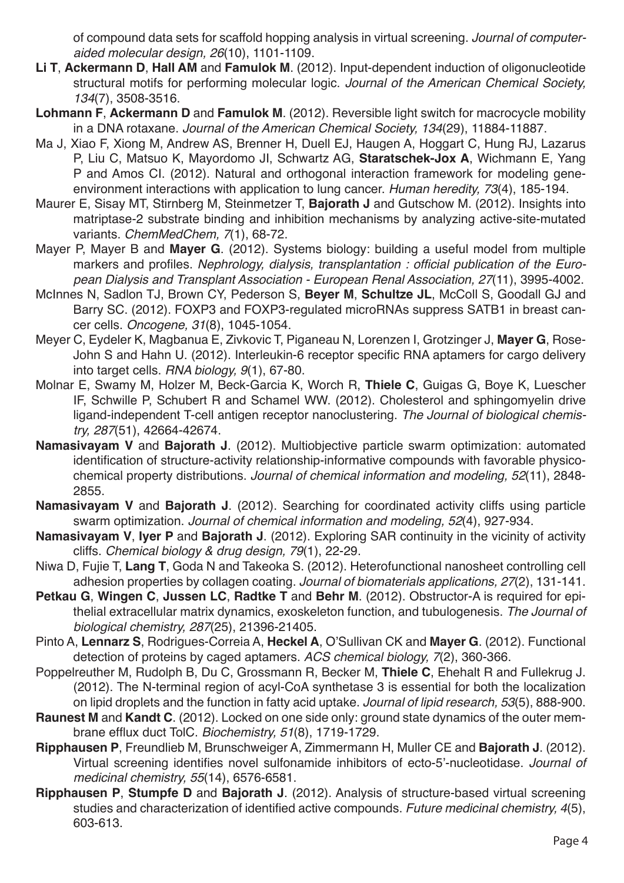of compound data sets for scaffold hopping analysis in virtual screening. *Journal of computeraided molecular design, 26*(10), 1101-1109.

- **Li T**, **Ackermann D**, **Hall AM** and **Famulok M**. (2012). Input-dependent induction of oligonucleotide structural motifs for performing molecular logic. *Journal of the American Chemical Society, 134*(7), 3508-3516.
- **Lohmann F**, **Ackermann D** and **Famulok M**. (2012). Reversible light switch for macrocycle mobility in a DNA rotaxane. *Journal of the American Chemical Society, 134*(29), 11884-11887.
- Ma J, Xiao F, Xiong M, Andrew AS, Brenner H, Duell EJ, Haugen A, Hoggart C, Hung RJ, Lazarus P, Liu C, Matsuo K, Mayordomo JI, Schwartz AG, **Staratschek-Jox A**, Wichmann E, Yang P and Amos CI. (2012). Natural and orthogonal interaction framework for modeling geneenvironment interactions with application to lung cancer. *Human heredity, 73*(4), 185-194.
- Maurer E, Sisay MT, Stirnberg M, Steinmetzer T, **Bajorath J** and Gutschow M. (2012). Insights into matriptase-2 substrate binding and inhibition mechanisms by analyzing active-site-mutated variants. *ChemMedChem, 7*(1), 68-72.
- Mayer P, Mayer B and **Mayer G**. (2012). Systems biology: building a useful model from multiple markers and profiles. Nephrology, dialysis, transplantation : official publication of the Euro*pean Dialysis and Transplant Association - European Renal Association, 27*(11), 3995-4002.
- McInnes N, Sadlon TJ, Brown CY, Pederson S, **Beyer M**, **Schultze JL**, McColl S, Goodall GJ and Barry SC. (2012). FOXP3 and FOXP3-regulated microRNAs suppress SATB1 in breast cancer cells. *Oncogene, 31*(8), 1045-1054.
- Meyer C, Eydeler K, Magbanua E, Zivkovic T, Piganeau N, Lorenzen I, Grotzinger J, **Mayer G**, Rose-John S and Hahn U. (2012). Interleukin-6 receptor specific RNA aptamers for cargo delivery into target cells. *RNA biology, 9*(1), 67-80.
- Molnar E, Swamy M, Holzer M, Beck-Garcia K, Worch R, **Thiele C**, Guigas G, Boye K, Luescher IF, Schwille P, Schubert R and Schamel WW. (2012). Cholesterol and sphingomyelin drive ligand-independent T-cell antigen receptor nanoclustering. *The Journal of biological chemistry, 287*(51), 42664-42674.
- **Namasivayam V** and **Bajorath J**. (2012). Multiobjective particle swarm optimization: automated identification of structure-activity relationship-informative compounds with favorable physicochemical property distributions. *Journal of chemical information and modeling, 52*(11), 2848- 2855.
- **Namasivayam V** and **Bajorath J**. (2012). Searching for coordinated activity cliffs using particle swarm optimization. *Journal of chemical information and modeling, 52*(4), 927-934.
- **Namasivayam V**, **Iyer P** and **Bajorath J**. (2012). Exploring SAR continuity in the vicinity of activity cliffs. *Chemical biology & drug design, 79*(1), 22-29.
- Niwa D, Fujie T, **Lang T**, Goda N and Takeoka S. (2012). Heterofunctional nanosheet controlling cell adhesion properties by collagen coating. *Journal of biomaterials applications, 27*(2), 131-141.
- **Petkau G**, **Wingen C**, **Jussen LC**, **Radtke T** and **Behr M**. (2012). Obstructor-A is required for epithelial extracellular matrix dynamics, exoskeleton function, and tubulogenesis. *The Journal of biological chemistry, 287*(25), 21396-21405.
- Pinto A, **Lennarz S**, Rodrigues-Correia A, **Heckel A**, O'Sullivan CK and **Mayer G**. (2012). Functional detection of proteins by caged aptamers. *ACS chemical biology, 7*(2), 360-366.
- Poppelreuther M, Rudolph B, Du C, Grossmann R, Becker M, **Thiele C**, Ehehalt R and Fullekrug J. (2012). The N-terminal region of acyl-CoA synthetase 3 is essential for both the localization on lipid droplets and the function in fatty acid uptake. *Journal of lipid research, 53*(5), 888-900.
- **Raunest M** and **Kandt C**. (2012). Locked on one side only: ground state dynamics of the outer membrane efflux duct TolC. *Biochemistry, 51*(8), 1719-1729.
- **Ripphausen P**, Freundlieb M, Brunschweiger A, Zimmermann H, Muller CE and **Bajorath J**. (2012). Virtual screening identifies novel sulfonamide inhibitors of ecto-5'-nucleotidase. *Journal of medicinal chemistry, 55*(14), 6576-6581.
- **Ripphausen P**, **Stumpfe D** and **Bajorath J**. (2012). Analysis of structure-based virtual screening studies and characterization of identified active compounds. *Future medicinal chemistry, 4*(5), 603-613.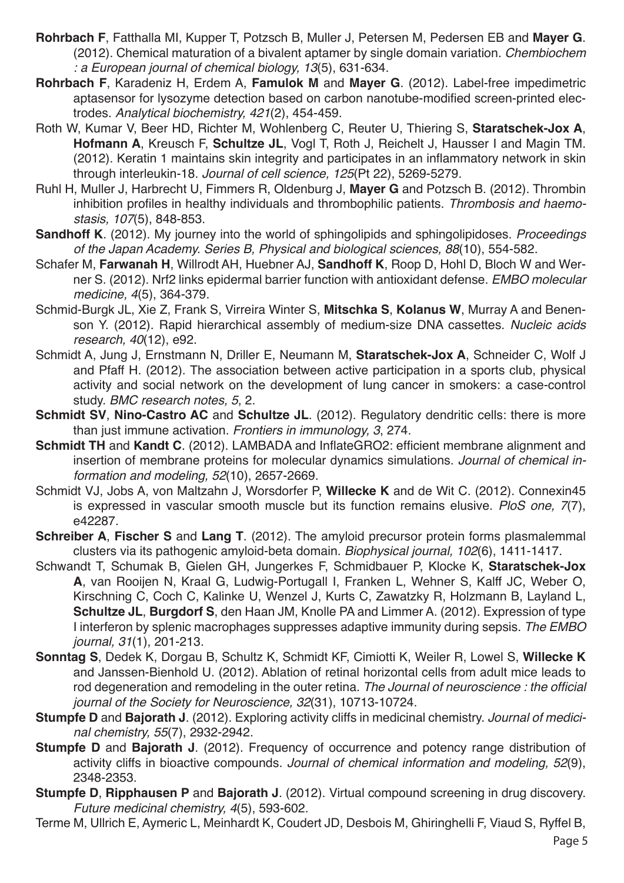- **Rohrbach F**, Fatthalla MI, Kupper T, Potzsch B, Muller J, Petersen M, Pedersen EB and **Mayer G**. (2012). Chemical maturation of a bivalent aptamer by single domain variation. *Chembiochem : a European journal of chemical biology, 13*(5), 631-634.
- **Rohrbach F**, Karadeniz H, Erdem A, **Famulok M** and **Mayer G**. (2012). Label-free impedimetric aptasensor for lysozyme detection based on carbon nanotube-modified screen-printed electrodes. *Analytical biochemistry, 421*(2), 454-459.
- Roth W, Kumar V, Beer HD, Richter M, Wohlenberg C, Reuter U, Thiering S, **Staratschek-Jox A**, **Hofmann A**, Kreusch F, **Schultze JL**, Vogl T, Roth J, Reichelt J, Hausser I and Magin TM. (2012). Keratin 1 maintains skin integrity and participates in an inflammatory network in skin through interleukin-18. *Journal of cell science, 125*(Pt 22), 5269-5279.
- Ruhl H, Muller J, Harbrecht U, Fimmers R, Oldenburg J, **Mayer G** and Potzsch B. (2012). Thrombin inhibition profiles in healthy individuals and thrombophilic patients. *Thrombosis and haemostasis, 107*(5), 848-853.
- **Sandhoff K**. (2012). My journey into the world of sphingolipids and sphingolipidoses. *Proceedings of the Japan Academy. Series B, Physical and biological sciences, 88*(10), 554-582.
- Schafer M, **Farwanah H**, Willrodt AH, Huebner AJ, **Sandhoff K**, Roop D, Hohl D, Bloch W and Werner S. (2012). Nrf2 links epidermal barrier function with antioxidant defense. *EMBO molecular medicine, 4*(5), 364-379.
- Schmid-Burgk JL, Xie Z, Frank S, Virreira Winter S, **Mitschka S**, **Kolanus W**, Murray A and Benenson Y. (2012). Rapid hierarchical assembly of medium-size DNA cassettes. *Nucleic acids research, 40*(12), e92.
- Schmidt A, Jung J, Ernstmann N, Driller E, Neumann M, **Staratschek-Jox A**, Schneider C, Wolf J and Pfaff H. (2012). The association between active participation in a sports club, physical activity and social network on the development of lung cancer in smokers: a case-control study. *BMC research notes, 5*, 2.
- **Schmidt SV**, **Nino-Castro AC** and **Schultze JL**. (2012). Regulatory dendritic cells: there is more than just immune activation. *Frontiers in immunology, 3*, 274.
- **Schmidt TH** and **Kandt C**. (2012). LAMBADA and InflateGRO2: efficient membrane alignment and insertion of membrane proteins for molecular dynamics simulations. *Journal of chemical information and modeling, 52*(10), 2657-2669.
- Schmidt VJ, Jobs A, von Maltzahn J, Worsdorfer P, **Willecke K** and de Wit C. (2012). Connexin45 is expressed in vascular smooth muscle but its function remains elusive. *PloS one, 7*(7), e42287.
- **Schreiber A**, **Fischer S** and **Lang T**. (2012). The amyloid precursor protein forms plasmalemmal clusters via its pathogenic amyloid-beta domain. *Biophysical journal, 102*(6), 1411-1417.
- Schwandt T, Schumak B, Gielen GH, Jungerkes F, Schmidbauer P, Klocke K, **Staratschek-Jox A**, van Rooijen N, Kraal G, Ludwig-Portugall I, Franken L, Wehner S, Kalff JC, Weber O, Kirschning C, Coch C, Kalinke U, Wenzel J, Kurts C, Zawatzky R, Holzmann B, Layland L, **Schultze JL**, **Burgdorf S**, den Haan JM, Knolle PA and Limmer A. (2012). Expression of type I interferon by splenic macrophages suppresses adaptive immunity during sepsis. *The EMBO journal, 31*(1), 201-213.
- **Sonntag S**, Dedek K, Dorgau B, Schultz K, Schmidt KF, Cimiotti K, Weiler R, Lowel S, **Willecke K** and Janssen-Bienhold U. (2012). Ablation of retinal horizontal cells from adult mice leads to rod degeneration and remodeling in the outer retina. The Journal of neuroscience : the official *journal of the Society for Neuroscience, 32*(31), 10713-10724.
- **Stumpfe D** and **Bajorath J**. (2012). Exploring activity cliffs in medicinal chemistry. *Journal of medicinal chemistry, 55*(7), 2932-2942.
- **Stumpfe D** and **Bajorath J**. (2012). Frequency of occurrence and potency range distribution of activity cliffs in bioactive compounds. *Journal of chemical information and modeling, 52*(9), 2348-2353.
- **Stumpfe D**, **Ripphausen P** and **Bajorath J**. (2012). Virtual compound screening in drug discovery. *Future medicinal chemistry, 4*(5), 593-602.
- Terme M, Ullrich E, Aymeric L, Meinhardt K, Coudert JD, Desbois M, Ghiringhelli F, Viaud S, Ryffel B,